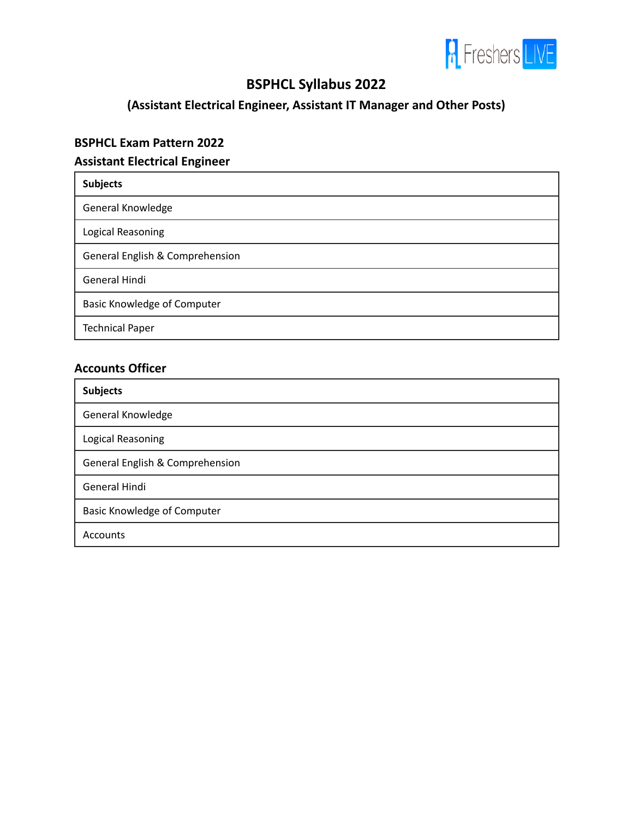

# **BSPHCL Syllabus 2022**

**(Assistant Electrical Engineer, Assistant IT Manager and Other Posts)**

#### **BSPHCL Exam Pattern 2022**

### **Assistant Electrical Engineer**

| <b>Subjects</b>                 |
|---------------------------------|
| General Knowledge               |
| Logical Reasoning               |
| General English & Comprehension |
| General Hindi                   |
| Basic Knowledge of Computer     |
| <b>Technical Paper</b>          |

#### **Accounts Officer**

| <b>Subjects</b>                    |
|------------------------------------|
| General Knowledge                  |
| Logical Reasoning                  |
| General English & Comprehension    |
| General Hindi                      |
| <b>Basic Knowledge of Computer</b> |
| <b>Accounts</b>                    |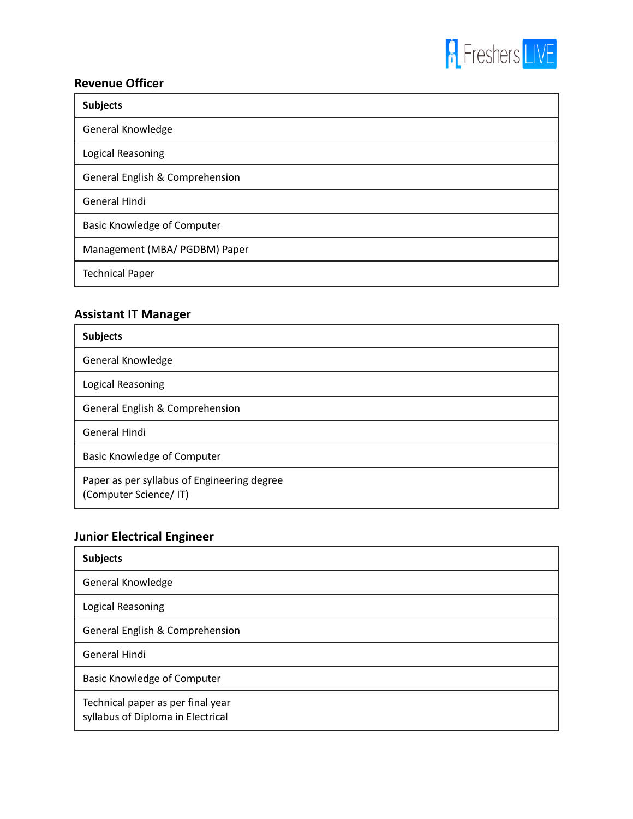

### **Revenue Officer**

| <b>Subjects</b>                    |
|------------------------------------|
| General Knowledge                  |
| Logical Reasoning                  |
| General English & Comprehension    |
| <b>General Hindi</b>               |
| <b>Basic Knowledge of Computer</b> |
| Management (MBA/ PGDBM) Paper      |
| <b>Technical Paper</b>             |

### **Assistant IT Manager**

| <b>Subjects</b>                                                      |
|----------------------------------------------------------------------|
| General Knowledge                                                    |
| Logical Reasoning                                                    |
| General English & Comprehension                                      |
| General Hindi                                                        |
| <b>Basic Knowledge of Computer</b>                                   |
| Paper as per syllabus of Engineering degree<br>(Computer Science/IT) |

## **Junior Electrical Engineer**

| <b>Subjects</b>                                                        |
|------------------------------------------------------------------------|
| General Knowledge                                                      |
| Logical Reasoning                                                      |
| General English & Comprehension                                        |
| General Hindi                                                          |
| Basic Knowledge of Computer                                            |
| Technical paper as per final year<br>syllabus of Diploma in Electrical |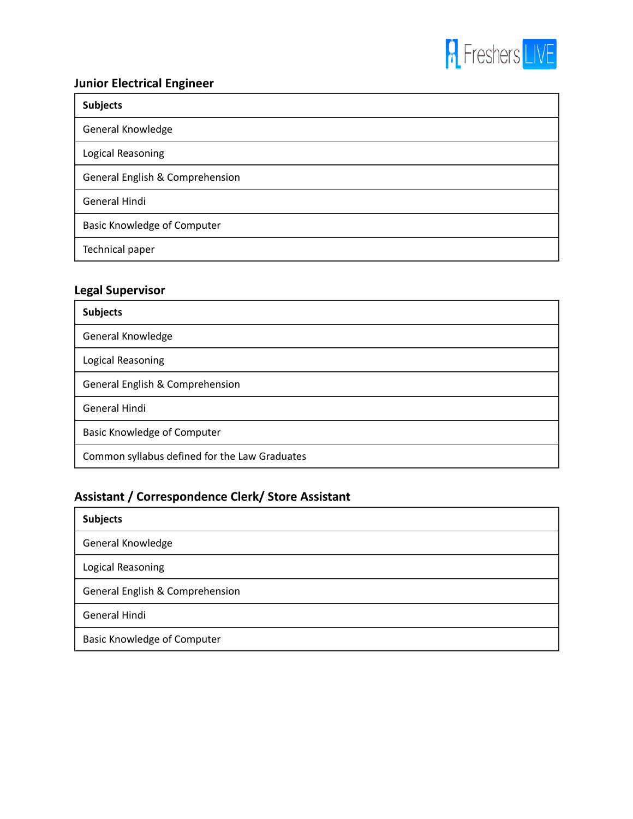

## **Junior Electrical Engineer**

| <b>Subjects</b>                    |
|------------------------------------|
| General Knowledge                  |
| Logical Reasoning                  |
| General English & Comprehension    |
| <b>General Hindi</b>               |
| <b>Basic Knowledge of Computer</b> |
| Technical paper                    |

#### **Legal Supervisor**

| <b>Subjects</b>                               |
|-----------------------------------------------|
| General Knowledge                             |
| Logical Reasoning                             |
| General English & Comprehension               |
| General Hindi                                 |
| <b>Basic Knowledge of Computer</b>            |
| Common syllabus defined for the Law Graduates |

## **Assistant / Correspondence Clerk/ Store Assistant**

| <b>Subjects</b>                    |
|------------------------------------|
| General Knowledge                  |
| Logical Reasoning                  |
| General English & Comprehension    |
| General Hindi                      |
| <b>Basic Knowledge of Computer</b> |